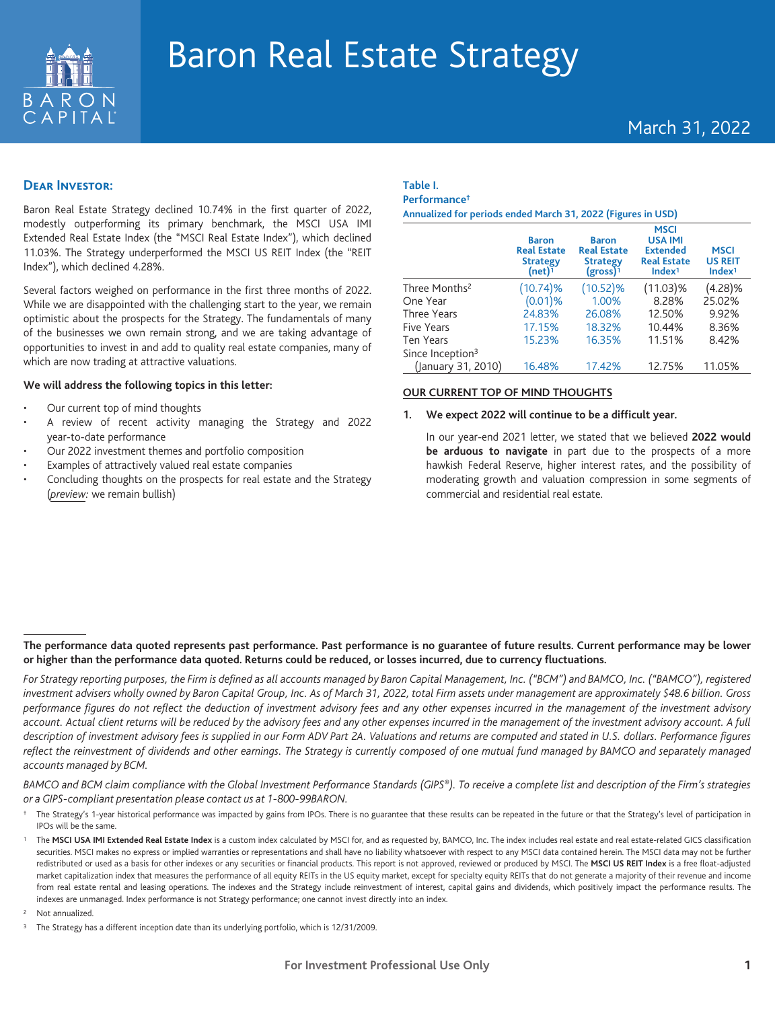

# March 31, 2022

# **Dear Investor:**

Baron Real Estate Strategy declined 10.74% in the first quarter of 2022, modestly outperforming its primary benchmark, the MSCI USA IMI Extended Real Estate Index (the "MSCI Real Estate Index"), which declined 11.03%. The Strategy underperformed the MSCI US REIT Index (the "REIT Index"), which declined 4.28%.

Several factors weighed on performance in the first three months of 2022. While we are disappointed with the challenging start to the year, we remain optimistic about the prospects for the Strategy. The fundamentals of many of the businesses we own remain strong, and we are taking advantage of opportunities to invest in and add to quality real estate companies, many of which are now trading at attractive valuations.

#### **We will address the following topics in this letter:**

- Our current top of mind thoughts
- A review of recent activity managing the Strategy and 2022 year-to-date performance
- Our 2022 investment themes and portfolio composition
- Examples of attractively valued real estate companies
- Concluding thoughts on the prospects for real estate and the Strategy (*preview:* we remain bullish)

# **Table I.**

# **Performance†**

#### **Annualized for periods ended March 31, 2022 (Figures in USD)**

|                              | <b>Baron</b><br><b>Real Estate</b><br><b>Strategy</b><br>(net) <sup>1</sup> | <b>Baron</b><br><b>Real Estate</b><br><b>Strategy</b><br>(gross) <sup>1</sup> | <b>MSCI</b><br><b>USA IMI</b><br><b>Extended</b><br><b>Real Estate</b><br>Index <sup>1</sup> | <b>MSCI</b><br><b>US REIT</b><br>Index <sup>1</sup> |
|------------------------------|-----------------------------------------------------------------------------|-------------------------------------------------------------------------------|----------------------------------------------------------------------------------------------|-----------------------------------------------------|
| Three Months <sup>2</sup>    | $(10.74)\%$                                                                 | $(10.52)\%$                                                                   | $(11.03)\%$                                                                                  | (4.28)%                                             |
| One Year                     | $(0.01)$ %                                                                  | 1.00%                                                                         | 8.28%                                                                                        | 25.02%                                              |
| Three Years                  | 24.83%                                                                      | 26.08%                                                                        | 12.50%                                                                                       | 9.92%                                               |
| Five Years                   | 17.15%                                                                      | 18.32%                                                                        | 10.44%                                                                                       | 8.36%                                               |
| Ten Years                    | 15.23%                                                                      | 16.35%                                                                        | 11.51%                                                                                       | 8.42%                                               |
| Since Inception <sup>3</sup> |                                                                             |                                                                               |                                                                                              |                                                     |
| (January 31, 2010)           | 16.48%                                                                      | 17.42%                                                                        | 12.75%                                                                                       | 11.05%                                              |

#### **OUR CURRENT TOP OF MIND THOUGHTS**

#### **1. We expect 2022 will continue to be a difficult year.**

In our year-end 2021 letter, we stated that we believed **2022 would be arduous to navigate** in part due to the prospects of a more hawkish Federal Reserve, higher interest rates, and the possibility of moderating growth and valuation compression in some segments of commercial and residential real estate.

# **The performance data quoted represents past performance. Past performance is no guarantee of future results. Current performance may be lower or higher than the performance data quoted. Returns could be reduced, or losses incurred, due to currency fluctuations.**

*For Strategy reporting purposes, the Firm is defined as all accounts managed by Baron Capital Management, Inc. ("BCM") and BAMCO, Inc. ("BAMCO"), registered investment advisers wholly owned by Baron Capital Group, Inc. As of March 31, 2022, total Firm assets under management are approximately \$48.6 billion. Gross performance figures do not reflect the deduction of investment advisory fees and any other expenses incurred in the management of the investment advisory account. Actual client returns will be reduced by the advisory fees and any other expenses incurred in the management of the investment advisory account. A full description of investment advisory fees is supplied in our Form ADV Part 2A. Valuations and returns are computed and stated in U.S. dollars. Performance figures reflect the reinvestment of dividends and other earnings. The Strategy is currently composed of one mutual fund managed by BAMCO and separately managed accounts managed by BCM.*

*BAMCO and BCM claim compliance with the Global Investment Performance Standards (GIPS®). To receive a complete list and description of the Firm's strategies or a GIPS-compliant presentation please contact us at 1-800-99BARON.*

- The Strategy's 1-year historical performance was impacted by gains from IPOs. There is no guarantee that these results can be repeated in the future or that the Strategy's level of participation in IPOs will be the same.
- <sup>1</sup> The MSCI USA IMI Extended Real Estate Index is a custom index calculated by MSCI for, and as requested by, BAMCO, Inc. The index includes real estate and real estate-related GICS classification securities. MSCI makes no express or implied warranties or representations and shall have no liability whatsoever with respect to any MSCI data contained herein. The MSCI data may not be further redistributed or used as a basis for other indexes or any securities or financial products. This report is not approved, reviewed or produced by MSCI. The **MSCI US REIT Index** is a free float-adjusted market capitalization index that measures the performance of all equity REITs in the US equity market, except for specialty equity REITs that do not generate a majority of their revenue and income from real estate rental and leasing operations. The indexes and the Strategy include reinvestment of interest, capital gains and dividends, which positively impact the performance results. The indexes are unmanaged. Index performance is not Strategy performance; one cannot invest directly into an index.

<sup>2</sup> Not annualized.

<sup>&</sup>lt;sup>3</sup> The Strategy has a different inception date than its underlying portfolio, which is 12/31/2009.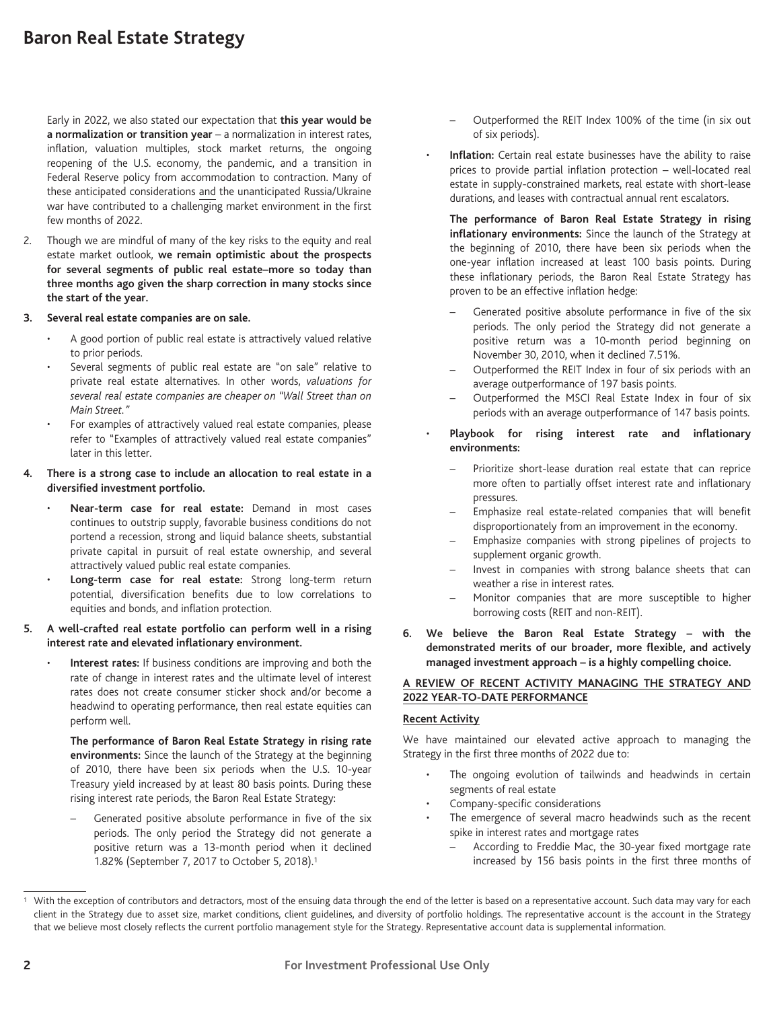Early in 2022, we also stated our expectation that **this year would be a normalization or transition year** – a normalization in interest rates, inflation, valuation multiples, stock market returns, the ongoing reopening of the U.S. economy, the pandemic, and a transition in Federal Reserve policy from accommodation to contraction. Many of these anticipated considerations and the unanticipated Russia/Ukraine war have contributed to a challenging market environment in the first few months of 2022.

- 2. Though we are mindful of many of the key risks to the equity and real estate market outlook, **we remain optimistic about the prospects for several segments of public real estate–more so today than three months ago given the sharp correction in many stocks since the start of the year.**
- **3. Several real estate companies are on sale.**
	- A good portion of public real estate is attractively valued relative to prior periods.
	- Several segments of public real estate are "on sale" relative to private real estate alternatives. In other words, *valuations for several real estate companies are cheaper on "Wall Street than on Main Street."*
	- For examples of attractively valued real estate companies, please refer to "Examples of attractively valued real estate companies" later in this letter.
- **4. There is a strong case to include an allocation to real estate in a diversified investment portfolio.**
	- **Near-term case for real estate:** Demand in most cases continues to outstrip supply, favorable business conditions do not portend a recession, strong and liquid balance sheets, substantial private capital in pursuit of real estate ownership, and several attractively valued public real estate companies.
	- **Long-term case for real estate:** Strong long-term return potential, diversification benefits due to low correlations to equities and bonds, and inflation protection.
- **5. A well-crafted real estate portfolio can perform well in a rising interest rate and elevated inflationary environment.**
	- **Interest rates:** If business conditions are improving and both the rate of change in interest rates and the ultimate level of interest rates does not create consumer sticker shock and/or become a headwind to operating performance, then real estate equities can perform well.

**The performance of Baron Real Estate Strategy in rising rate environments:** Since the launch of the Strategy at the beginning of 2010, there have been six periods when the U.S. 10-year Treasury yield increased by at least 80 basis points. During these rising interest rate periods, the Baron Real Estate Strategy:

– Generated positive absolute performance in five of the six periods. The only period the Strategy did not generate a positive return was a 13-month period when it declined 1.82% (September 7, 2017 to October 5, 2018).1

- Outperformed the REIT Index 100% of the time (in six out of six periods).
- **Inflation:** Certain real estate businesses have the ability to raise prices to provide partial inflation protection – well-located real estate in supply-constrained markets, real estate with short-lease durations, and leases with contractual annual rent escalators.

**The performance of Baron Real Estate Strategy in rising inflationary environments:** Since the launch of the Strategy at the beginning of 2010, there have been six periods when the one-year inflation increased at least 100 basis points. During these inflationary periods, the Baron Real Estate Strategy has proven to be an effective inflation hedge:

- Generated positive absolute performance in five of the six periods. The only period the Strategy did not generate a positive return was a 10-month period beginning on November 30, 2010, when it declined 7.51%.
- Outperformed the REIT Index in four of six periods with an average outperformance of 197 basis points.
- Outperformed the MSCI Real Estate Index in four of six periods with an average outperformance of 147 basis points.
- **Playbook for rising interest rate and inflationary environments:**
	- Prioritize short-lease duration real estate that can reprice more often to partially offset interest rate and inflationary pressures.
	- Emphasize real estate-related companies that will benefit disproportionately from an improvement in the economy.
	- Emphasize companies with strong pipelines of projects to supplement organic growth.
	- Invest in companies with strong balance sheets that can weather a rise in interest rates.
	- Monitor companies that are more susceptible to higher borrowing costs (REIT and non-REIT).
- **6. We believe the Baron Real Estate Strategy with the demonstrated merits of our broader, more flexible, and actively managed investment approach – is a highly compelling choice.**

# **A REVIEW OF RECENT ACTIVITY MANAGING THE STRATEGY AND 2022 YEAR-TO-DATE PERFORMANCE**

# **Recent Activity**

We have maintained our elevated active approach to managing the Strategy in the first three months of 2022 due to:

- The ongoing evolution of tailwinds and headwinds in certain segments of real estate
- Company-specific considerations
- The emergence of several macro headwinds such as the recent spike in interest rates and mortgage rates
	- According to Freddie Mac, the 30-year fixed mortgage rate increased by 156 basis points in the first three months of

<sup>&</sup>lt;sup>1</sup> With the exception of contributors and detractors, most of the ensuing data through the end of the letter is based on a representative account. Such data may vary for each client in the Strategy due to asset size, market conditions, client guidelines, and diversity of portfolio holdings. The representative account is the account in the Strategy that we believe most closely reflects the current portfolio management style for the Strategy. Representative account data is supplemental information.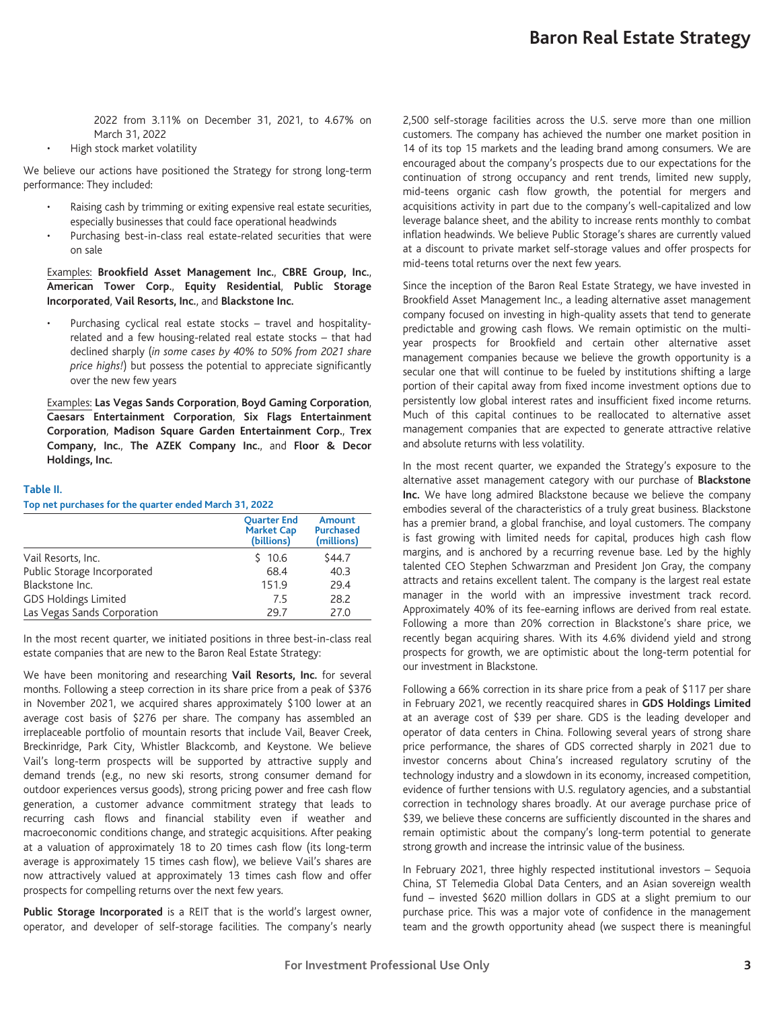2022 from 3.11% on December 31, 2021, to 4.67% on March 31, 2022

• High stock market volatility

We believe our actions have positioned the Strategy for strong long-term performance: They included:

- Raising cash by trimming or exiting expensive real estate securities, especially businesses that could face operational headwinds
- Purchasing best-in-class real estate-related securities that were on sale

Examples: **Brookfield Asset Management Inc.**, **CBRE Group, Inc.**, **American Tower Corp.**, **Equity Residential**, **Public Storage Incorporated**, **Vail Resorts, Inc.**, and **Blackstone Inc.**

Purchasing cyclical real estate stocks - travel and hospitalityrelated and a few housing-related real estate stocks – that had declined sharply (*in some cases by 40% to 50% from 2021 share price highs!*) but possess the potential to appreciate significantly over the new few years

Examples: **Las Vegas Sands Corporation**, **Boyd Gaming Corporation**, **Caesars Entertainment Corporation**, **Six Flags Entertainment Corporation**, **Madison Square Garden Entertainment Corp.**, **Trex Company, Inc.**, **The AZEK Company Inc.**, and **Floor & Decor Holdings, Inc.**

# **Table II.**

#### **Top net purchases for the quarter ended March 31, 2022**

|                             | <b>Ouarter End</b><br><b>Market Cap</b><br>(billions) | Amount<br><b>Purchased</b><br>(millions) |
|-----------------------------|-------------------------------------------------------|------------------------------------------|
| Vail Resorts, Inc.          | \$10.6                                                | \$44.7                                   |
| Public Storage Incorporated | 68.4                                                  | 40.3                                     |
| Blackstone Inc.             | 151.9                                                 | 29.4                                     |
| <b>GDS Holdings Limited</b> | 7.5                                                   | 28.2                                     |
| Las Vegas Sands Corporation | 297                                                   | 27.0                                     |

In the most recent quarter, we initiated positions in three best-in-class real estate companies that are new to the Baron Real Estate Strategy:

We have been monitoring and researching **Vail Resorts, Inc.** for several months. Following a steep correction in its share price from a peak of \$376 in November 2021, we acquired shares approximately \$100 lower at an average cost basis of \$276 per share. The company has assembled an irreplaceable portfolio of mountain resorts that include Vail, Beaver Creek, Breckinridge, Park City, Whistler Blackcomb, and Keystone. We believe Vail's long-term prospects will be supported by attractive supply and demand trends (e.g., no new ski resorts, strong consumer demand for outdoor experiences versus goods), strong pricing power and free cash flow generation, a customer advance commitment strategy that leads to recurring cash flows and financial stability even if weather and macroeconomic conditions change, and strategic acquisitions. After peaking at a valuation of approximately 18 to 20 times cash flow (its long-term average is approximately 15 times cash flow), we believe Vail's shares are now attractively valued at approximately 13 times cash flow and offer prospects for compelling returns over the next few years.

Public Storage Incorporated is a REIT that is the world's largest owner, operator, and developer of self-storage facilities. The company's nearly

2,500 self-storage facilities across the U.S. serve more than one million customers. The company has achieved the number one market position in 14 of its top 15 markets and the leading brand among consumers. We are encouraged about the company's prospects due to our expectations for the continuation of strong occupancy and rent trends, limited new supply, mid-teens organic cash flow growth, the potential for mergers and acquisitions activity in part due to the company's well-capitalized and low leverage balance sheet, and the ability to increase rents monthly to combat inflation headwinds. We believe Public Storage's shares are currently valued at a discount to private market self-storage values and offer prospects for mid-teens total returns over the next few years.

Since the inception of the Baron Real Estate Strategy, we have invested in Brookfield Asset Management Inc., a leading alternative asset management company focused on investing in high-quality assets that tend to generate predictable and growing cash flows. We remain optimistic on the multiyear prospects for Brookfield and certain other alternative asset management companies because we believe the growth opportunity is a secular one that will continue to be fueled by institutions shifting a large portion of their capital away from fixed income investment options due to persistently low global interest rates and insufficient fixed income returns. Much of this capital continues to be reallocated to alternative asset management companies that are expected to generate attractive relative and absolute returns with less volatility.

In the most recent quarter, we expanded the Strategy's exposure to the alternative asset management category with our purchase of **Blackstone Inc.** We have long admired Blackstone because we believe the company embodies several of the characteristics of a truly great business. Blackstone has a premier brand, a global franchise, and loyal customers. The company is fast growing with limited needs for capital, produces high cash flow margins, and is anchored by a recurring revenue base. Led by the highly talented CEO Stephen Schwarzman and President Jon Gray, the company attracts and retains excellent talent. The company is the largest real estate manager in the world with an impressive investment track record. Approximately 40% of its fee-earning inflows are derived from real estate. Following a more than 20% correction in Blackstone's share price, we recently began acquiring shares. With its 4.6% dividend yield and strong prospects for growth, we are optimistic about the long-term potential for our investment in Blackstone.

Following a 66% correction in its share price from a peak of \$117 per share in February 2021, we recently reacquired shares in **GDS Holdings Limited** at an average cost of \$39 per share. GDS is the leading developer and operator of data centers in China. Following several years of strong share price performance, the shares of GDS corrected sharply in 2021 due to investor concerns about China's increased regulatory scrutiny of the technology industry and a slowdown in its economy, increased competition, evidence of further tensions with U.S. regulatory agencies, and a substantial correction in technology shares broadly. At our average purchase price of \$39, we believe these concerns are sufficiently discounted in the shares and remain optimistic about the company's long-term potential to generate strong growth and increase the intrinsic value of the business.

In February 2021, three highly respected institutional investors – Sequoia China, ST Telemedia Global Data Centers, and an Asian sovereign wealth fund – invested \$620 million dollars in GDS at a slight premium to our purchase price. This was a major vote of confidence in the management team and the growth opportunity ahead (we suspect there is meaningful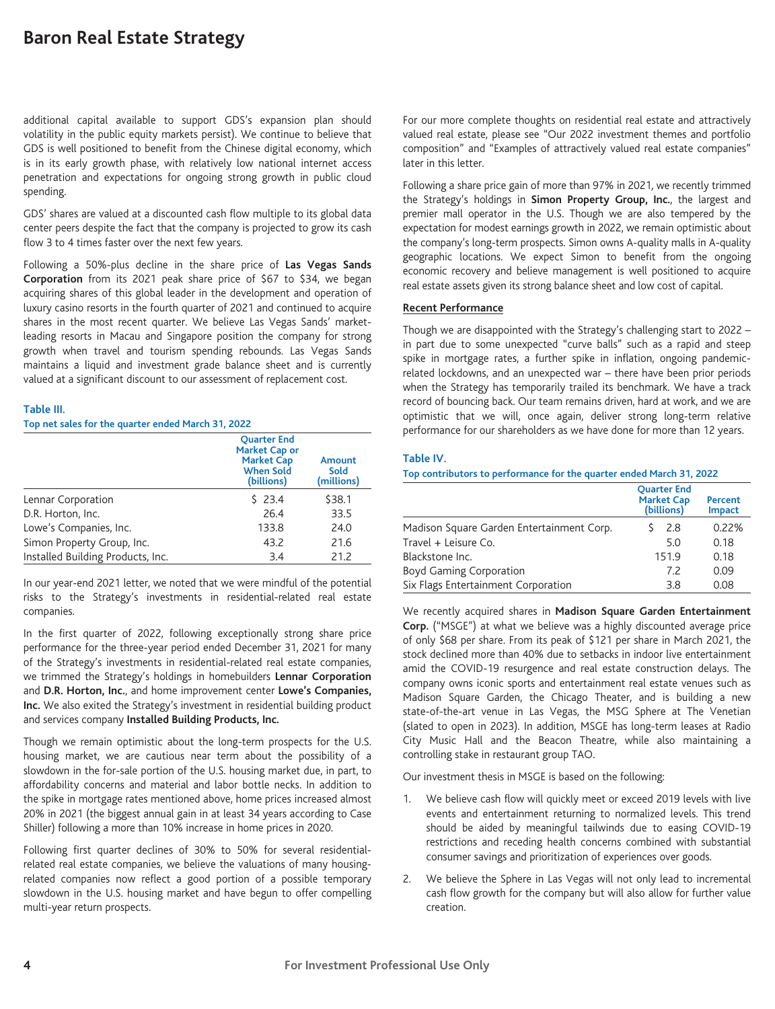additional capital available to support GDS's expansion plan should volatility in the public equity markets persist). We continue to believe that GDS is well positioned to benefit from the Chinese digital economy, which is in its early growth phase, with relatively low national internet access penetration and expectations for ongoing strong growth in public cloud spending.

GDS' shares are valued at a discounted cash flow multiple to its global data center peers despite the fact that the company is projected to grow its cash flow 3 to 4 times faster over the next few years.

Following a 50%-plus decline in the share price of **Las Vegas Sands Corporation** from its 2021 peak share price of \$67 to \$34, we began acquiring shares of this global leader in the development and operation of luxury casino resorts in the fourth quarter of 2021 and continued to acquire shares in the most recent quarter. We believe Las Vegas Sands' marketleading resorts in Macau and Singapore position the company for strong growth when travel and tourism spending rebounds. Las Vegas Sands maintains a liquid and investment grade balance sheet and is currently valued at a significant discount to our assessment of replacement cost.

#### **Table III.**

#### **Top net sales for the quarter ended March 31, 2022**

|                                   | <b>Quarter End</b><br><b>Market Cap or</b><br><b>Market Cap</b><br><b>When Sold</b><br>(billions) | Amount<br>Sold<br>(millions) |
|-----------------------------------|---------------------------------------------------------------------------------------------------|------------------------------|
| Lennar Corporation                | \$23.4                                                                                            | \$38.1                       |
| D.R. Horton, Inc.                 | 26.4                                                                                              | 33.5                         |
| Lowe's Companies, Inc.            | 133.8                                                                                             | 24.0                         |
| Simon Property Group, Inc.        | 43.2                                                                                              | 21.6                         |
| Installed Building Products, Inc. | 3.4                                                                                               | 21.2                         |

In our year-end 2021 letter, we noted that we were mindful of the potential risks to the Strategy's investments in residential-related real estate companies.

In the first quarter of 2022, following exceptionally strong share price performance for the three-year period ended December 31, 2021 for many of the Strategy's investments in residential-related real estate companies, we trimmed the Strategy's holdings in homebuilders **Lennar Corporation** and **D.R. Horton, Inc.**, and home improvement center **Lowe's Companies, Inc.** We also exited the Strategy's investment in residential building product and services company **Installed Building Products, Inc.**

Though we remain optimistic about the long-term prospects for the U.S. housing market, we are cautious near term about the possibility of a slowdown in the for-sale portion of the U.S. housing market due, in part, to affordability concerns and material and labor bottle necks. In addition to the spike in mortgage rates mentioned above, home prices increased almost 20% in 2021 (the biggest annual gain in at least 34 years according to Case Shiller) following a more than 10% increase in home prices in 2020.

Following first quarter declines of 30% to 50% for several residentialrelated real estate companies, we believe the valuations of many housingrelated companies now reflect a good portion of a possible temporary slowdown in the U.S. housing market and have begun to offer compelling multi-year return prospects.

For our more complete thoughts on residential real estate and attractively valued real estate, please see "Our 2022 investment themes and portfolio composition" and "Examples of attractively valued real estate companies" later in this letter.

Following a share price gain of more than 97% in 2021, we recently trimmed the Strategy's holdings in **Simon Property Group, Inc.**, the largest and premier mall operator in the U.S. Though we are also tempered by the expectation for modest earnings growth in 2022, we remain optimistic about the company's long-term prospects. Simon owns A-quality malls in A-quality geographic locations. We expect Simon to benefit from the ongoing economic recovery and believe management is well positioned to acquire real estate assets given its strong balance sheet and low cost of capital.

#### **Recent Performance**

Though we are disappointed with the Strategy's challenging start to 2022 – in part due to some unexpected "curve balls" such as a rapid and steep spike in mortgage rates, a further spike in inflation, ongoing pandemicrelated lockdowns, and an unexpected war – there have been prior periods when the Strategy has temporarily trailed its benchmark. We have a track record of bouncing back. Our team remains driven, hard at work, and we are optimistic that we will, once again, deliver strong long-term relative performance for our shareholders as we have done for more than 12 years.

#### **Table IV.**

**Top contributors to performance for the quarter ended March 31, 2022**

|                                           | <b>Ouarter End</b><br><b>Market Cap</b><br>(billions) | Percent<br><b>Impact</b> |
|-------------------------------------------|-------------------------------------------------------|--------------------------|
| Madison Square Garden Entertainment Corp. | 2.8                                                   | 0.22%                    |
| Travel + Leisure Co.                      | 5.0                                                   | 0.18                     |
| Blackstone Inc.                           | 151.9                                                 | 0.18                     |
| <b>Boyd Gaming Corporation</b>            | 7.2                                                   | 0.09                     |
| Six Flags Entertainment Corporation       | 3.8                                                   | 0.08                     |

We recently acquired shares in **Madison Square Garden Entertainment Corp.** ("MSGE") at what we believe was a highly discounted average price of only \$68 per share. From its peak of \$121 per share in March 2021, the stock declined more than 40% due to setbacks in indoor live entertainment amid the COVID-19 resurgence and real estate construction delays. The company owns iconic sports and entertainment real estate venues such as Madison Square Garden, the Chicago Theater, and is building a new state-of-the-art venue in Las Vegas, the MSG Sphere at The Venetian (slated to open in 2023). In addition, MSGE has long-term leases at Radio City Music Hall and the Beacon Theatre, while also maintaining a controlling stake in restaurant group TAO.

Our investment thesis in MSGE is based on the following:

- 1. We believe cash flow will quickly meet or exceed 2019 levels with live events and entertainment returning to normalized levels. This trend should be aided by meaningful tailwinds due to easing COVID-19 restrictions and receding health concerns combined with substantial consumer savings and prioritization of experiences over goods.
- 2. We believe the Sphere in Las Vegas will not only lead to incremental cash flow growth for the company but will also allow for further value creation.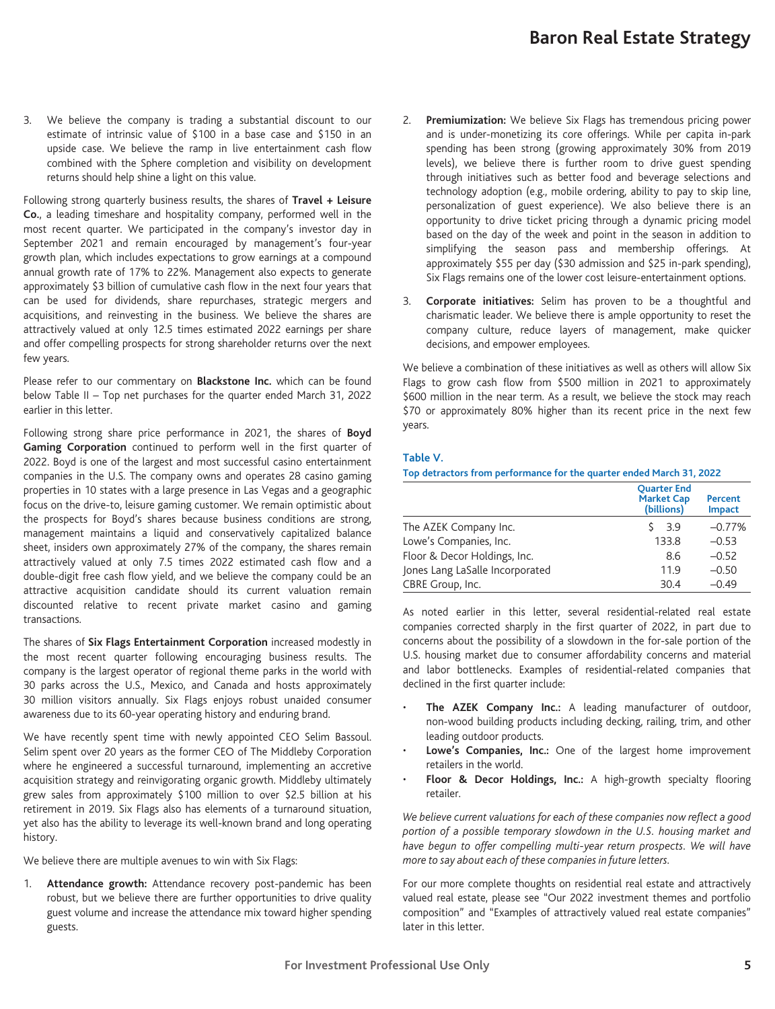3. We believe the company is trading a substantial discount to our estimate of intrinsic value of \$100 in a base case and \$150 in an upside case. We believe the ramp in live entertainment cash flow combined with the Sphere completion and visibility on development returns should help shine a light on this value.

Following strong quarterly business results, the shares of **Travel + Leisure Co.**, a leading timeshare and hospitality company, performed well in the most recent quarter. We participated in the company's investor day in September 2021 and remain encouraged by management's four-year growth plan, which includes expectations to grow earnings at a compound annual growth rate of 17% to 22%. Management also expects to generate approximately \$3 billion of cumulative cash flow in the next four years that can be used for dividends, share repurchases, strategic mergers and acquisitions, and reinvesting in the business. We believe the shares are attractively valued at only 12.5 times estimated 2022 earnings per share and offer compelling prospects for strong shareholder returns over the next few years.

Please refer to our commentary on **Blackstone Inc.** which can be found below Table II – Top net purchases for the quarter ended March 31, 2022 earlier in this letter.

Following strong share price performance in 2021, the shares of **Boyd Gaming Corporation** continued to perform well in the first quarter of 2022. Boyd is one of the largest and most successful casino entertainment companies in the U.S. The company owns and operates 28 casino gaming properties in 10 states with a large presence in Las Vegas and a geographic focus on the drive-to, leisure gaming customer. We remain optimistic about the prospects for Boyd's shares because business conditions are strong, management maintains a liquid and conservatively capitalized balance sheet, insiders own approximately 27% of the company, the shares remain attractively valued at only 7.5 times 2022 estimated cash flow and a double-digit free cash flow yield, and we believe the company could be an attractive acquisition candidate should its current valuation remain discounted relative to recent private market casino and gaming transactions.

The shares of **Six Flags Entertainment Corporation** increased modestly in the most recent quarter following encouraging business results. The company is the largest operator of regional theme parks in the world with 30 parks across the U.S., Mexico, and Canada and hosts approximately 30 million visitors annually. Six Flags enjoys robust unaided consumer awareness due to its 60-year operating history and enduring brand.

We have recently spent time with newly appointed CEO Selim Bassoul. Selim spent over 20 years as the former CEO of The Middleby Corporation where he engineered a successful turnaround, implementing an accretive acquisition strategy and reinvigorating organic growth. Middleby ultimately grew sales from approximately \$100 million to over \$2.5 billion at his retirement in 2019. Six Flags also has elements of a turnaround situation, yet also has the ability to leverage its well-known brand and long operating history.

We believe there are multiple avenues to win with Six Flags:

1. **Attendance growth:** Attendance recovery post-pandemic has been robust, but we believe there are further opportunities to drive quality guest volume and increase the attendance mix toward higher spending guests.

- 2. **Premiumization:** We believe Six Flags has tremendous pricing power and is under-monetizing its core offerings. While per capita in-park spending has been strong (growing approximately 30% from 2019 levels), we believe there is further room to drive guest spending through initiatives such as better food and beverage selections and technology adoption (e.g., mobile ordering, ability to pay to skip line, personalization of guest experience). We also believe there is an opportunity to drive ticket pricing through a dynamic pricing model based on the day of the week and point in the season in addition to simplifying the season pass and membership offerings. At approximately \$55 per day (\$30 admission and \$25 in-park spending), Six Flags remains one of the lower cost leisure-entertainment options.
- 3. **Corporate initiatives:** Selim has proven to be a thoughtful and charismatic leader. We believe there is ample opportunity to reset the company culture, reduce layers of management, make quicker decisions, and empower employees.

We believe a combination of these initiatives as well as others will allow Six Flags to grow cash flow from \$500 million in 2021 to approximately \$600 million in the near term. As a result, we believe the stock may reach \$70 or approximately 80% higher than its recent price in the next few years.

# **Table V.**

#### **Top detractors from performance for the quarter ended March 31, 2022**

|                                 | <b>Ouarter End</b><br><b>Market Cap</b><br>(billions) | Percent<br><b>Impact</b> |
|---------------------------------|-------------------------------------------------------|--------------------------|
| The AZEK Company Inc.           | 3.9                                                   | $-0.77%$                 |
| Lowe's Companies, Inc.          | 133.8                                                 | $-0.53$                  |
| Floor & Decor Holdings, Inc.    | 8.6                                                   | $-0.52$                  |
| Jones Lang LaSalle Incorporated | 11.9                                                  | $-0.50$                  |
| CBRE Group, Inc.                | 30.4                                                  | $-0.49$                  |

As noted earlier in this letter, several residential-related real estate companies corrected sharply in the first quarter of 2022, in part due to concerns about the possibility of a slowdown in the for-sale portion of the U.S. housing market due to consumer affordability concerns and material and labor bottlenecks. Examples of residential-related companies that declined in the first quarter include:

- **The AZEK Company Inc.:** A leading manufacturer of outdoor, non-wood building products including decking, railing, trim, and other leading outdoor products.
- Lowe's Companies, Inc.: One of the largest home improvement retailers in the world.
- **Floor & Decor Holdings, Inc.:** A high-growth specialty flooring retailer.

*We believe current valuations for each of these companies now reflect a good portion of a possible temporary slowdown in the U.S. housing market and have begun to offer compelling multi-year return prospects. We will have more to say about each of these companies in future letters.*

For our more complete thoughts on residential real estate and attractively valued real estate, please see "Our 2022 investment themes and portfolio composition" and "Examples of attractively valued real estate companies" later in this letter.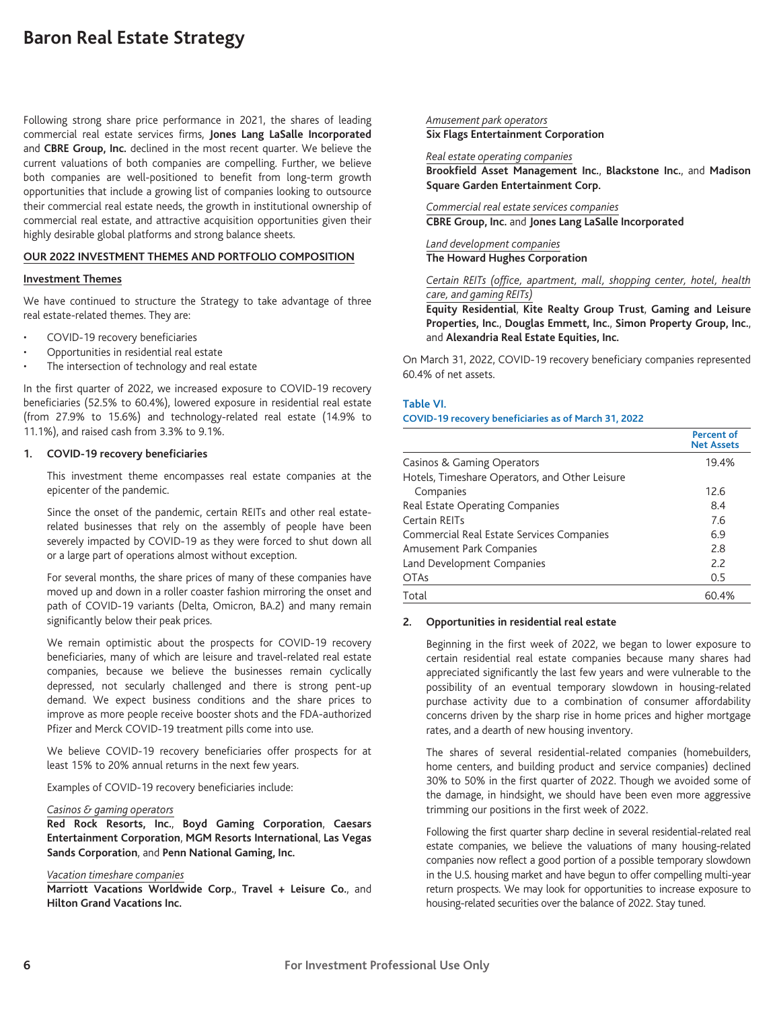Following strong share price performance in 2021, the shares of leading commercial real estate services firms, **Jones Lang LaSalle Incorporated** and **CBRE Group, Inc.** declined in the most recent quarter. We believe the current valuations of both companies are compelling. Further, we believe both companies are well-positioned to benefit from long-term growth opportunities that include a growing list of companies looking to outsource their commercial real estate needs, the growth in institutional ownership of commercial real estate, and attractive acquisition opportunities given their highly desirable global platforms and strong balance sheets.

### **OUR 2022 INVESTMENT THEMES AND PORTFOLIO COMPOSITION**

#### **Investment Themes**

We have continued to structure the Strategy to take advantage of three real estate-related themes. They are:

- COVID-19 recovery beneficiaries
- Opportunities in residential real estate
- The intersection of technology and real estate

In the first quarter of 2022, we increased exposure to COVID-19 recovery beneficiaries (52.5% to 60.4%), lowered exposure in residential real estate (from 27.9% to 15.6%) and technology-related real estate (14.9% to 11.1%), and raised cash from 3.3% to 9.1%.

#### **1. COVID-19 recovery beneficiaries**

This investment theme encompasses real estate companies at the epicenter of the pandemic.

Since the onset of the pandemic, certain REITs and other real estaterelated businesses that rely on the assembly of people have been severely impacted by COVID-19 as they were forced to shut down all or a large part of operations almost without exception.

For several months, the share prices of many of these companies have moved up and down in a roller coaster fashion mirroring the onset and path of COVID-19 variants (Delta, Omicron, BA.2) and many remain significantly below their peak prices.

We remain optimistic about the prospects for COVID-19 recovery beneficiaries, many of which are leisure and travel-related real estate companies, because we believe the businesses remain cyclically depressed, not secularly challenged and there is strong pent-up demand. We expect business conditions and the share prices to improve as more people receive booster shots and the FDA-authorized Pfizer and Merck COVID-19 treatment pills come into use.

We believe COVID-19 recovery beneficiaries offer prospects for at least 15% to 20% annual returns in the next few years.

Examples of COVID-19 recovery beneficiaries include:

#### *Casinos & gaming operators*

**Red Rock Resorts, Inc.**, **Boyd Gaming Corporation**, **Caesars Entertainment Corporation**, **MGM Resorts International**, **Las Vegas Sands Corporation**, and **Penn National Gaming, Inc.**

#### *Vacation timeshare companies*

**Marriott Vacations Worldwide Corp.**, **Travel + Leisure Co.**, and **Hilton Grand Vacations Inc.**

#### *Amusement park operators* **Six Flags Entertainment Corporation**

*Real estate operating companies* **Brookfield Asset Management Inc.**, **Blackstone Inc.**, and **Madison Square Garden Entertainment Corp.**

*Commercial real estate services companies* **CBRE Group, Inc.** and **Jones Lang LaSalle Incorporated**

*Land development companies* **The Howard Hughes Corporation**

*Certain REITs (office, apartment, mall, shopping center, hotel, health care, and gaming REITs)*

**Equity Residential**, **Kite Realty Group Trust**, **Gaming and Leisure Properties, Inc.**, **Douglas Emmett, Inc.**, **Simon Property Group, Inc.**, and **Alexandria Real Estate Equities, Inc.**

On March 31, 2022, COVID-19 recovery beneficiary companies represented 60.4% of net assets.

#### **Table VI.**

#### **COVID-19 recovery beneficiaries as of March 31, 2022**

|                                                | <b>Percent of</b><br><b>Net Assets</b> |
|------------------------------------------------|----------------------------------------|
| Casinos & Gaming Operators                     | 19.4%                                  |
| Hotels, Timeshare Operators, and Other Leisure |                                        |
| Companies                                      | 12.6                                   |
| Real Estate Operating Companies                | 8.4                                    |
| Certain REITs                                  | 7.6                                    |
| Commercial Real Estate Services Companies      | 6.9                                    |
| Amusement Park Companies                       | 2.8                                    |
| Land Development Companies                     | 2.2                                    |
| <b>OTAs</b>                                    | 0.5                                    |
| Total                                          | 60.4%                                  |

#### **2. Opportunities in residential real estate**

Beginning in the first week of 2022, we began to lower exposure to certain residential real estate companies because many shares had appreciated significantly the last few years and were vulnerable to the possibility of an eventual temporary slowdown in housing-related purchase activity due to a combination of consumer affordability concerns driven by the sharp rise in home prices and higher mortgage rates, and a dearth of new housing inventory.

The shares of several residential-related companies (homebuilders, home centers, and building product and service companies) declined 30% to 50% in the first quarter of 2022. Though we avoided some of the damage, in hindsight, we should have been even more aggressive trimming our positions in the first week of 2022.

Following the first quarter sharp decline in several residential-related real estate companies, we believe the valuations of many housing-related companies now reflect a good portion of a possible temporary slowdown in the U.S. housing market and have begun to offer compelling multi-year return prospects. We may look for opportunities to increase exposure to housing-related securities over the balance of 2022. Stay tuned.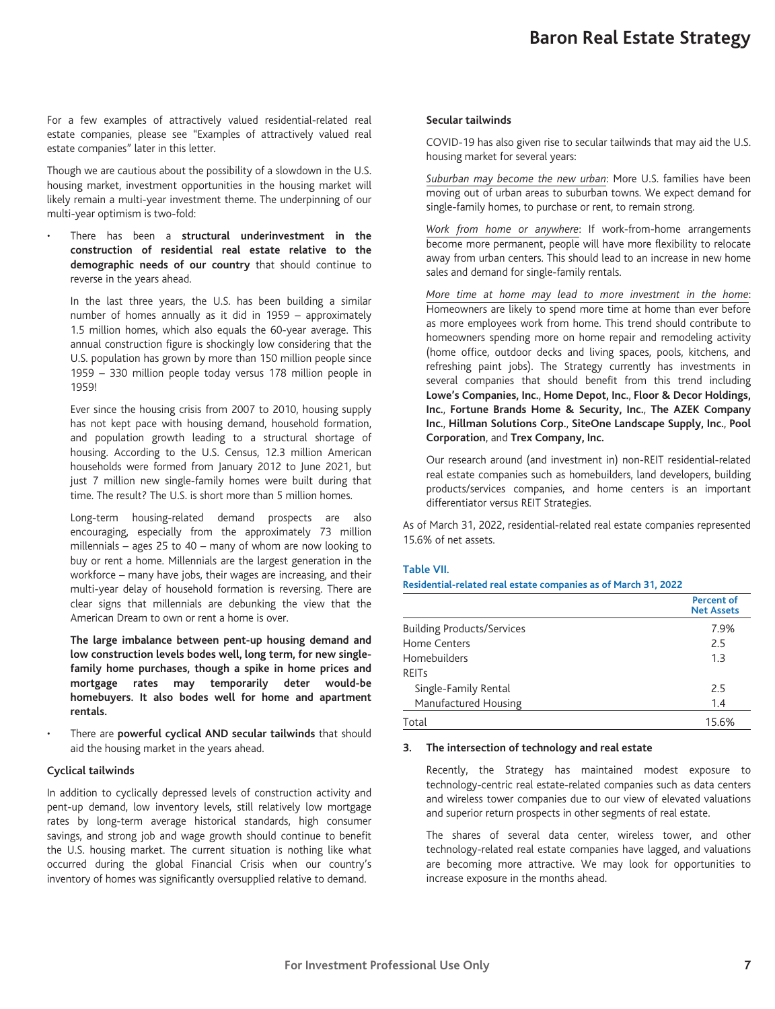For a few examples of attractively valued residential-related real estate companies, please see "Examples of attractively valued real estate companies" later in this letter.

Though we are cautious about the possibility of a slowdown in the U.S. housing market, investment opportunities in the housing market will likely remain a multi-year investment theme. The underpinning of our multi-year optimism is two-fold:

• There has been a **structural underinvestment in the construction of residential real estate relative to the demographic needs of our country** that should continue to reverse in the years ahead.

In the last three years, the U.S. has been building a similar number of homes annually as it did in 1959 – approximately 1.5 million homes, which also equals the 60-year average. This annual construction figure is shockingly low considering that the U.S. population has grown by more than 150 million people since 1959 – 330 million people today versus 178 million people in 1959!

Ever since the housing crisis from 2007 to 2010, housing supply has not kept pace with housing demand, household formation, and population growth leading to a structural shortage of housing. According to the U.S. Census, 12.3 million American households were formed from January 2012 to June 2021, but just 7 million new single-family homes were built during that time. The result? The U.S. is short more than 5 million homes.

Long-term housing-related demand prospects are also encouraging, especially from the approximately 73 million millennials – ages 25 to 40 – many of whom are now looking to buy or rent a home. Millennials are the largest generation in the workforce – many have jobs, their wages are increasing, and their multi-year delay of household formation is reversing. There are clear signs that millennials are debunking the view that the American Dream to own or rent a home is over.

**The large imbalance between pent-up housing demand and low construction levels bodes well, long term, for new singlefamily home purchases, though a spike in home prices and mortgage rates may temporarily deter would-be homebuyers. It also bodes well for home and apartment rentals.**

• There are **powerful cyclical AND secular tailwinds** that should aid the housing market in the years ahead.

# **Cyclical tailwinds**

In addition to cyclically depressed levels of construction activity and pent-up demand, low inventory levels, still relatively low mortgage rates by long-term average historical standards, high consumer savings, and strong job and wage growth should continue to benefit the U.S. housing market. The current situation is nothing like what occurred during the global Financial Crisis when our country's inventory of homes was significantly oversupplied relative to demand.

# **Secular tailwinds**

COVID-19 has also given rise to secular tailwinds that may aid the U.S. housing market for several years:

*Suburban may become the new urban*: More U.S. families have been moving out of urban areas to suburban towns. We expect demand for single-family homes, to purchase or rent, to remain strong.

*Work from home or anywhere*: If work-from-home arrangements become more permanent, people will have more flexibility to relocate away from urban centers. This should lead to an increase in new home sales and demand for single-family rentals.

*More time at home may lead to more investment in the home*: Homeowners are likely to spend more time at home than ever before as more employees work from home. This trend should contribute to homeowners spending more on home repair and remodeling activity (home office, outdoor decks and living spaces, pools, kitchens, and refreshing paint jobs). The Strategy currently has investments in several companies that should benefit from this trend including **Lowe's Companies, Inc.**, **Home Depot, Inc.**, **Floor & Decor Holdings, Inc.**, **Fortune Brands Home & Security, Inc.**, **The AZEK Company Inc.**, **Hillman Solutions Corp.**, **SiteOne Landscape Supply, Inc.**, **Pool Corporation**, and **Trex Company, Inc.**

Our research around (and investment in) non-REIT residential-related real estate companies such as homebuilders, land developers, building products/services companies, and home centers is an important differentiator versus REIT Strategies.

As of March 31, 2022, residential-related real estate companies represented 15.6% of net assets.

#### **Table VII.**

**Residential-related real estate companies as of March 31, 2022**

|                                   | <b>Percent of</b><br><b>Net Assets</b> |
|-----------------------------------|----------------------------------------|
| <b>Building Products/Services</b> | 7.9%                                   |
| <b>Home Centers</b>               | 2.5                                    |
| Homebuilders                      | 1.3                                    |
| REITs                             |                                        |
| Single-Family Rental              | 2.5                                    |
| Manufactured Housing              | 1.4                                    |
| Total                             | 15.6%                                  |

# **3. The intersection of technology and real estate**

Recently, the Strategy has maintained modest exposure to technology-centric real estate-related companies such as data centers and wireless tower companies due to our view of elevated valuations and superior return prospects in other segments of real estate.

The shares of several data center, wireless tower, and other technology-related real estate companies have lagged, and valuations are becoming more attractive. We may look for opportunities to increase exposure in the months ahead.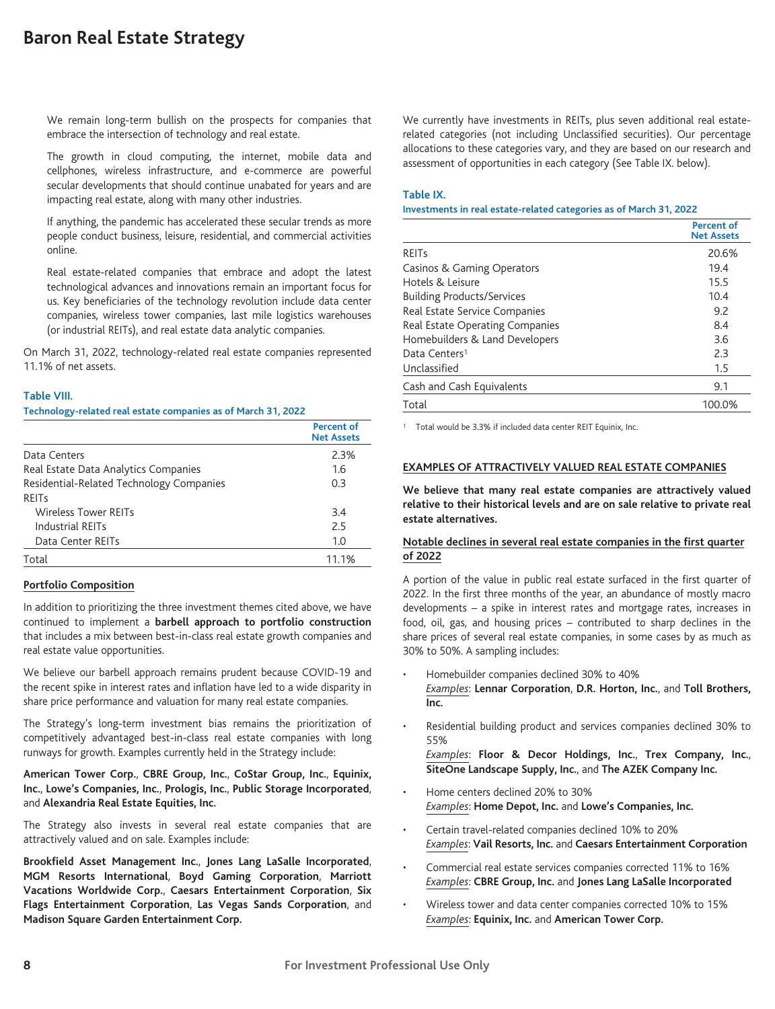We remain long-term bullish on the prospects for companies that embrace the intersection of technology and real estate.

The growth in cloud computing, the internet, mobile data and cellphones, wireless infrastructure, and e-commerce are powerful secular developments that should continue unabated for years and are impacting real estate, along with many other industries.

If anything, the pandemic has accelerated these secular trends as more people conduct business, leisure, residential, and commercial activities online.

Real estate-related companies that embrace and adopt the latest technological advances and innovations remain an important focus for us. Key beneficiaries of the technology revolution include data center companies, wireless tower companies, last mile logistics warehouses (or industrial REITs), and real estate data analytic companies.

On March 31, 2022, technology-related real estate companies represented 11.1% of net assets.

# **Table VIII.**

**Technology-related real estate companies as of March 31, 2022**

|                                          | <b>Percent of</b><br><b>Net Assets</b> |
|------------------------------------------|----------------------------------------|
| Data Centers                             | 2.3%                                   |
| Real Estate Data Analytics Companies     | 1.6                                    |
| Residential-Related Technology Companies | 0.3                                    |
| <b>RFITS</b>                             |                                        |
| <b>Wireless Tower REITs</b>              | 3.4                                    |
| Industrial REITs                         | 2.5                                    |
| Data Center REITs                        | 1.0                                    |
| Total                                    | 11.1%                                  |

# **Portfolio Composition**

In addition to prioritizing the three investment themes cited above, we have continued to implement a **barbell approach to portfolio construction** that includes a mix between best-in-class real estate growth companies and real estate value opportunities.

We believe our barbell approach remains prudent because COVID-19 and the recent spike in interest rates and inflation have led to a wide disparity in share price performance and valuation for many real estate companies.

The Strategy's long-term investment bias remains the prioritization of competitively advantaged best-in-class real estate companies with long runways for growth. Examples currently held in the Strategy include:

**American Tower Corp.**, **CBRE Group, Inc.**, **CoStar Group, Inc.**, **Equinix, Inc.**, **Lowe's Companies, Inc.**, **Prologis, Inc.**, **Public Storage Incorporated**, and **Alexandria Real Estate Equities, Inc.**

The Strategy also invests in several real estate companies that are attractively valued and on sale. Examples include:

**Brookfield Asset Management Inc.**, **Jones Lang LaSalle Incorporated**, **MGM Resorts International**, **Boyd Gaming Corporation**, **Marriott Vacations Worldwide Corp.**, **Caesars Entertainment Corporation**, **Six Flags Entertainment Corporation**, **Las Vegas Sands Corporation**, and **Madison Square Garden Entertainment Corp.**

We currently have investments in REITs, plus seven additional real estaterelated categories (not including Unclassified securities). Our percentage allocations to these categories vary, and they are based on our research and assessment of opportunities in each category (See Table IX. below).

#### **Table IX.**

#### **Investments in real estate-related categories as of March 31, 2022**

|                                   | Percent of<br><b>Net Assets</b> |
|-----------------------------------|---------------------------------|
| <b>REITS</b>                      | 20.6%                           |
| Casinos & Gaming Operators        | 19.4                            |
| Hotels & Leisure                  | 15.5                            |
| <b>Building Products/Services</b> | 10.4                            |
| Real Estate Service Companies     | 9.2                             |
| Real Estate Operating Companies   | 8.4                             |
| Homebuilders & Land Developers    | 3.6                             |
| Data Centers <sup>1</sup>         | 2.3                             |
| Unclassified                      | 1.5                             |
| Cash and Cash Equivalents         | 9.1                             |
| Total                             | 100.0%                          |

1 Total would be 3.3% if included data center REIT Equinix, Inc.

#### **EXAMPLES OF ATTRACTIVELY VALUED REAL ESTATE COMPANIES**

**We believe that many real estate companies are attractively valued relative to their historical levels and are on sale relative to private real estate alternatives.**

# **Notable declines in several real estate companies in the first quarter of 2022**

A portion of the value in public real estate surfaced in the first quarter of 2022. In the first three months of the year, an abundance of mostly macro developments – a spike in interest rates and mortgage rates, increases in food, oil, gas, and housing prices – contributed to sharp declines in the share prices of several real estate companies, in some cases by as much as 30% to 50%. A sampling includes:

- Homebuilder companies declined 30% to 40% *Examples*: **Lennar Corporation**, **D.R. Horton, Inc.**, and **Toll Brothers, Inc.**
- Residential building product and services companies declined 30% to 55%

*Examples*: **Floor & Decor Holdings, Inc.**, **Trex Company, Inc.**, **SiteOne Landscape Supply, Inc.**, and **The AZEK Company Inc.**

- Home centers declined 20% to 30% *Examples*: **Home Depot, Inc.** and **Lowe's Companies, Inc.**
- Certain travel-related companies declined 10% to 20% *Examples*: **Vail Resorts, Inc.** and **Caesars Entertainment Corporation**
- Commercial real estate services companies corrected 11% to 16% *Examples*: **CBRE Group, Inc.** and **Jones Lang LaSalle Incorporated**
- Wireless tower and data center companies corrected 10% to 15% *Examples*: **Equinix, Inc.** and **American Tower Corp.**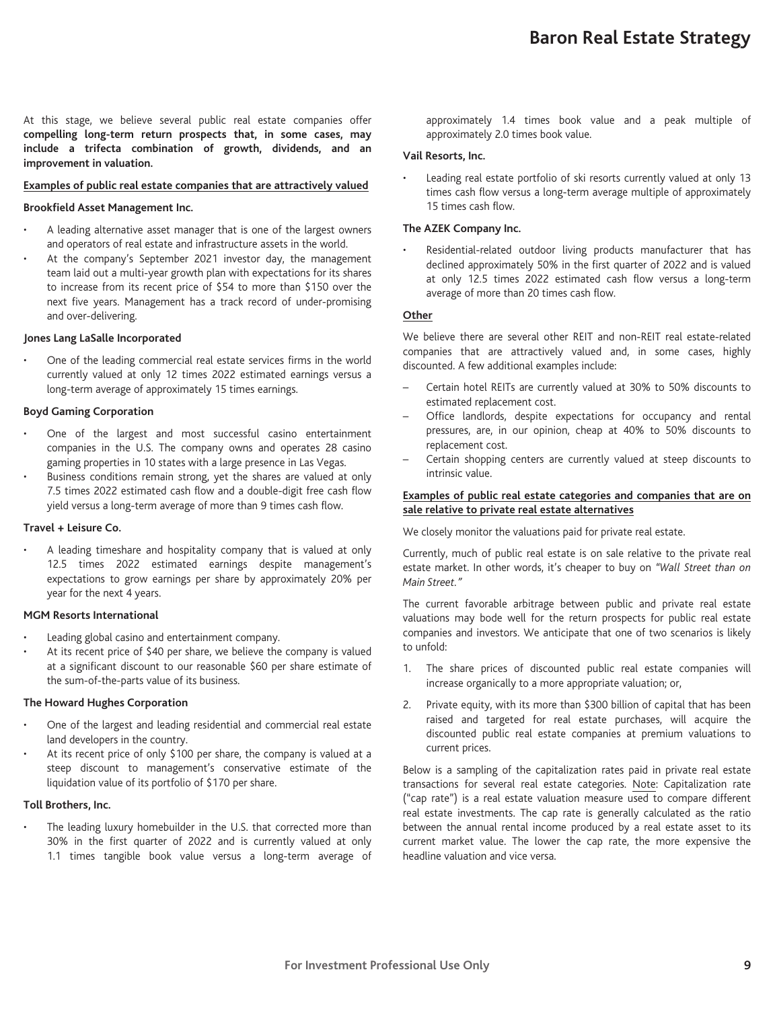At this stage, we believe several public real estate companies offer **compelling long-term return prospects that, in some cases, may include a trifecta combination of growth, dividends, and an improvement in valuation.**

#### **Examples of public real estate companies that are attractively valued**

#### **Brookfield Asset Management Inc.**

- A leading alternative asset manager that is one of the largest owners and operators of real estate and infrastructure assets in the world.
- At the company's September 2021 investor day, the management team laid out a multi-year growth plan with expectations for its shares to increase from its recent price of \$54 to more than \$150 over the next five years. Management has a track record of under-promising and over-delivering.

# **Jones Lang LaSalle Incorporated**

• One of the leading commercial real estate services firms in the world currently valued at only 12 times 2022 estimated earnings versus a long-term average of approximately 15 times earnings.

# **Boyd Gaming Corporation**

- One of the largest and most successful casino entertainment companies in the U.S. The company owns and operates 28 casino gaming properties in 10 states with a large presence in Las Vegas.
- Business conditions remain strong, yet the shares are valued at only 7.5 times 2022 estimated cash flow and a double-digit free cash flow yield versus a long-term average of more than 9 times cash flow.

#### **Travel + Leisure Co.**

A leading timeshare and hospitality company that is valued at only 12.5 times 2022 estimated earnings despite management's expectations to grow earnings per share by approximately 20% per year for the next 4 years.

# **MGM Resorts International**

- Leading global casino and entertainment company.
- At its recent price of \$40 per share, we believe the company is valued at a significant discount to our reasonable \$60 per share estimate of the sum-of-the-parts value of its business.

# **The Howard Hughes Corporation**

- One of the largest and leading residential and commercial real estate land developers in the country.
- At its recent price of only \$100 per share, the company is valued at a steep discount to management's conservative estimate of the liquidation value of its portfolio of \$170 per share.

## **Toll Brothers, Inc.**

The leading luxury homebuilder in the U.S. that corrected more than 30% in the first quarter of 2022 and is currently valued at only 1.1 times tangible book value versus a long-term average of approximately 1.4 times book value and a peak multiple of approximately 2.0 times book value.

#### **Vail Resorts, Inc.**

Leading real estate portfolio of ski resorts currently valued at only 13 times cash flow versus a long-term average multiple of approximately 15 times cash flow.

# **The AZEK Company Inc.**

Residential-related outdoor living products manufacturer that has declined approximately 50% in the first quarter of 2022 and is valued at only 12.5 times 2022 estimated cash flow versus a long-term average of more than 20 times cash flow.

# **Other**

We believe there are several other REIT and non-REIT real estate-related companies that are attractively valued and, in some cases, highly discounted. A few additional examples include:

- Certain hotel REITs are currently valued at 30% to 50% discounts to estimated replacement cost.
- Office landlords, despite expectations for occupancy and rental pressures, are, in our opinion, cheap at 40% to 50% discounts to replacement cost.
- Certain shopping centers are currently valued at steep discounts to intrinsic value.

# **Examples of public real estate categories and companies that are on sale relative to private real estate alternatives**

We closely monitor the valuations paid for private real estate.

Currently, much of public real estate is on sale relative to the private real estate market. In other words, it's cheaper to buy on *"Wall Street than on Main Street."*

The current favorable arbitrage between public and private real estate valuations may bode well for the return prospects for public real estate companies and investors. We anticipate that one of two scenarios is likely to unfold:

- 1. The share prices of discounted public real estate companies will increase organically to a more appropriate valuation; or,
- 2. Private equity, with its more than \$300 billion of capital that has been raised and targeted for real estate purchases, will acquire the discounted public real estate companies at premium valuations to current prices.

Below is a sampling of the capitalization rates paid in private real estate transactions for several real estate categories. Note: Capitalization rate ("cap rate") is a real estate valuation measure used to compare different real estate investments. The cap rate is generally calculated as the ratio between the annual rental income produced by a real estate asset to its current market value. The lower the cap rate, the more expensive the headline valuation and vice versa.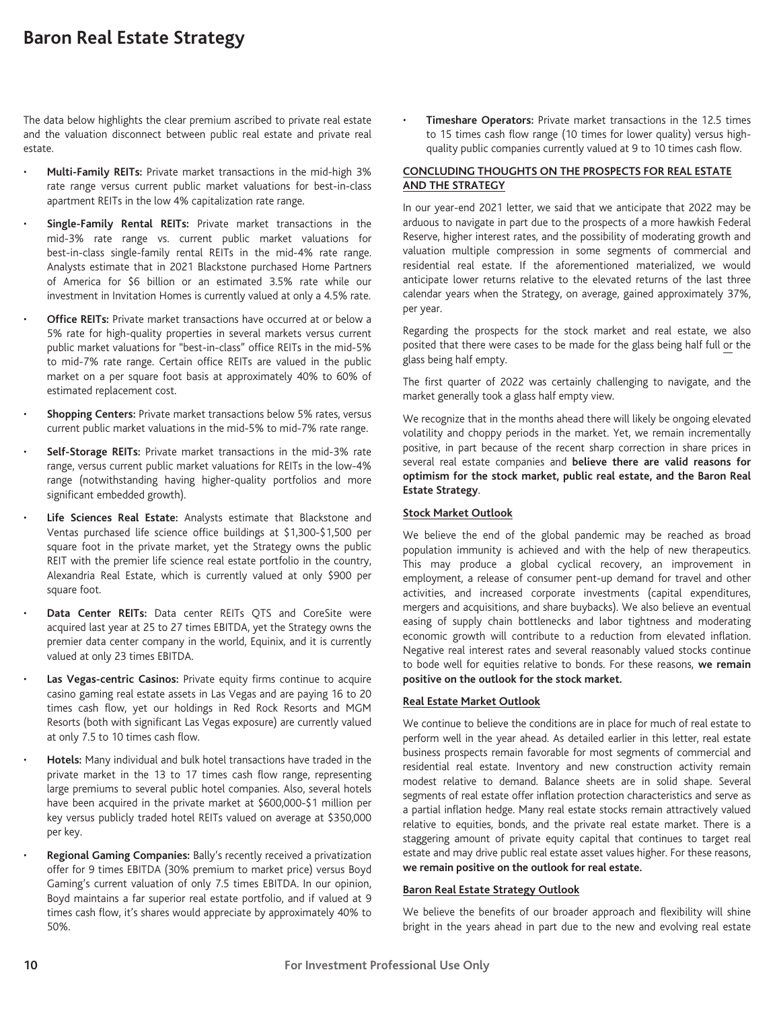The data below highlights the clear premium ascribed to private real estate and the valuation disconnect between public real estate and private real estate.

- **Multi-Family REITs:** Private market transactions in the mid-high 3% rate range versus current public market valuations for best-in-class apartment REITs in the low 4% capitalization rate range.
- **Single-Family Rental REITs:** Private market transactions in the mid-3% rate range vs. current public market valuations for best-in-class single-family rental REITs in the mid-4% rate range. Analysts estimate that in 2021 Blackstone purchased Home Partners of America for \$6 billion or an estimated 3.5% rate while our investment in Invitation Homes is currently valued at only a 4.5% rate.
- **Office REITs:** Private market transactions have occurred at or below a 5% rate for high-quality properties in several markets versus current public market valuations for "best-in-class" office REITs in the mid-5% to mid-7% rate range. Certain office REITs are valued in the public market on a per square foot basis at approximately 40% to 60% of estimated replacement cost.
- **Shopping Centers:** Private market transactions below 5% rates, versus current public market valuations in the mid-5% to mid-7% rate range.
- **Self-Storage REITs:** Private market transactions in the mid-3% rate range, versus current public market valuations for REITs in the low-4% range (notwithstanding having higher-quality portfolios and more significant embedded growth).
- **Life Sciences Real Estate:** Analysts estimate that Blackstone and Ventas purchased life science office buildings at \$1,300-\$1,500 per square foot in the private market, yet the Strategy owns the public REIT with the premier life science real estate portfolio in the country, Alexandria Real Estate, which is currently valued at only \$900 per square foot.
- **Data Center REITs:** Data center REITs QTS and CoreSite were acquired last year at 25 to 27 times EBITDA, yet the Strategy owns the premier data center company in the world, Equinix, and it is currently valued at only 23 times EBITDA.
- Las Vegas-centric Casinos: Private equity firms continue to acquire casino gaming real estate assets in Las Vegas and are paying 16 to 20 times cash flow, yet our holdings in Red Rock Resorts and MGM Resorts (both with significant Las Vegas exposure) are currently valued at only 7.5 to 10 times cash flow.
- **Hotels:** Many individual and bulk hotel transactions have traded in the private market in the 13 to 17 times cash flow range, representing large premiums to several public hotel companies. Also, several hotels have been acquired in the private market at \$600,000-\$1 million per key versus publicly traded hotel REITs valued on average at \$350,000 per key.
- **Regional Gaming Companies:** Bally's recently received a privatization offer for 9 times EBITDA (30% premium to market price) versus Boyd Gaming's current valuation of only 7.5 times EBITDA. In our opinion, Boyd maintains a far superior real estate portfolio, and if valued at 9 times cash flow, it's shares would appreciate by approximately 40% to 50%.

• **Timeshare Operators:** Private market transactions in the 12.5 times to 15 times cash flow range (10 times for lower quality) versus highquality public companies currently valued at 9 to 10 times cash flow.

# **CONCLUDING THOUGHTS ON THE PROSPECTS FOR REAL ESTATE AND THE STRATEGY**

In our year-end 2021 letter, we said that we anticipate that 2022 may be arduous to navigate in part due to the prospects of a more hawkish Federal Reserve, higher interest rates, and the possibility of moderating growth and valuation multiple compression in some segments of commercial and residential real estate. If the aforementioned materialized, we would anticipate lower returns relative to the elevated returns of the last three calendar years when the Strategy, on average, gained approximately 37%, per year.

Regarding the prospects for the stock market and real estate, we also posited that there were cases to be made for the glass being half full or the glass being half empty.

The first quarter of 2022 was certainly challenging to navigate, and the market generally took a glass half empty view.

We recognize that in the months ahead there will likely be ongoing elevated volatility and choppy periods in the market. Yet, we remain incrementally positive, in part because of the recent sharp correction in share prices in several real estate companies and **believe there are valid reasons for optimism for the stock market, public real estate, and the Baron Real Estate Strategy**.

# **Stock Market Outlook**

We believe the end of the global pandemic may be reached as broad population immunity is achieved and with the help of new therapeutics. This may produce a global cyclical recovery, an improvement in employment, a release of consumer pent-up demand for travel and other activities, and increased corporate investments (capital expenditures, mergers and acquisitions, and share buybacks). We also believe an eventual easing of supply chain bottlenecks and labor tightness and moderating economic growth will contribute to a reduction from elevated inflation. Negative real interest rates and several reasonably valued stocks continue to bode well for equities relative to bonds. For these reasons, **we remain positive on the outlook for the stock market.**

# **Real Estate Market Outlook**

We continue to believe the conditions are in place for much of real estate to perform well in the year ahead. As detailed earlier in this letter, real estate business prospects remain favorable for most segments of commercial and residential real estate. Inventory and new construction activity remain modest relative to demand. Balance sheets are in solid shape. Several segments of real estate offer inflation protection characteristics and serve as a partial inflation hedge. Many real estate stocks remain attractively valued relative to equities, bonds, and the private real estate market. There is a staggering amount of private equity capital that continues to target real estate and may drive public real estate asset values higher. For these reasons, **we remain positive on the outlook for real estate.**

# **Baron Real Estate Strategy Outlook**

We believe the benefits of our broader approach and flexibility will shine bright in the years ahead in part due to the new and evolving real estate